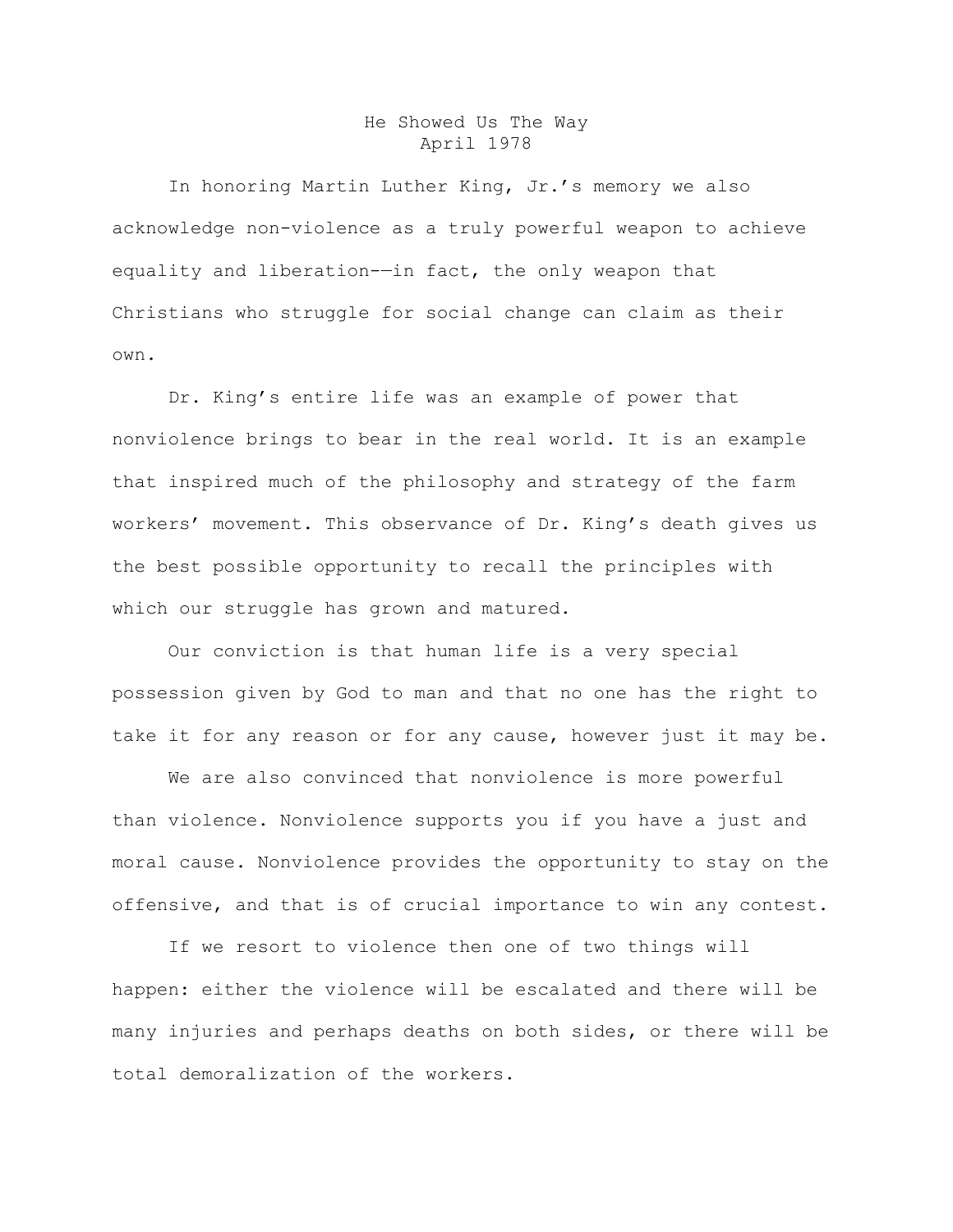## He Showed Us The Way April 1978

In honoring Martin Luther King, Jr.'s memory we also acknowledge non-violence as a truly powerful weapon to achieve equality and liberation-—in fact, the only weapon that Christians who struggle for social change can claim as their own.

Dr. King's entire life was an example of power that nonviolence brings to bear in the real world. It is an example that inspired much of the philosophy and strategy of the farm workers' movement. This observance of Dr. King's death gives us the best possible opportunity to recall the principles with which our struggle has grown and matured.

Our conviction is that human life is a very special possession given by God to man and that no one has the right to take it for any reason or for any cause, however just it may be.

We are also convinced that nonviolence is more powerful than violence. Nonviolence supports you if you have a just and moral cause. Nonviolence provides the opportunity to stay on the offensive, and that is of crucial importance to win any contest.

If we resort to violence then one of two things will happen: either the violence will be escalated and there will be many injuries and perhaps deaths on both sides, or there will be total demoralization of the workers.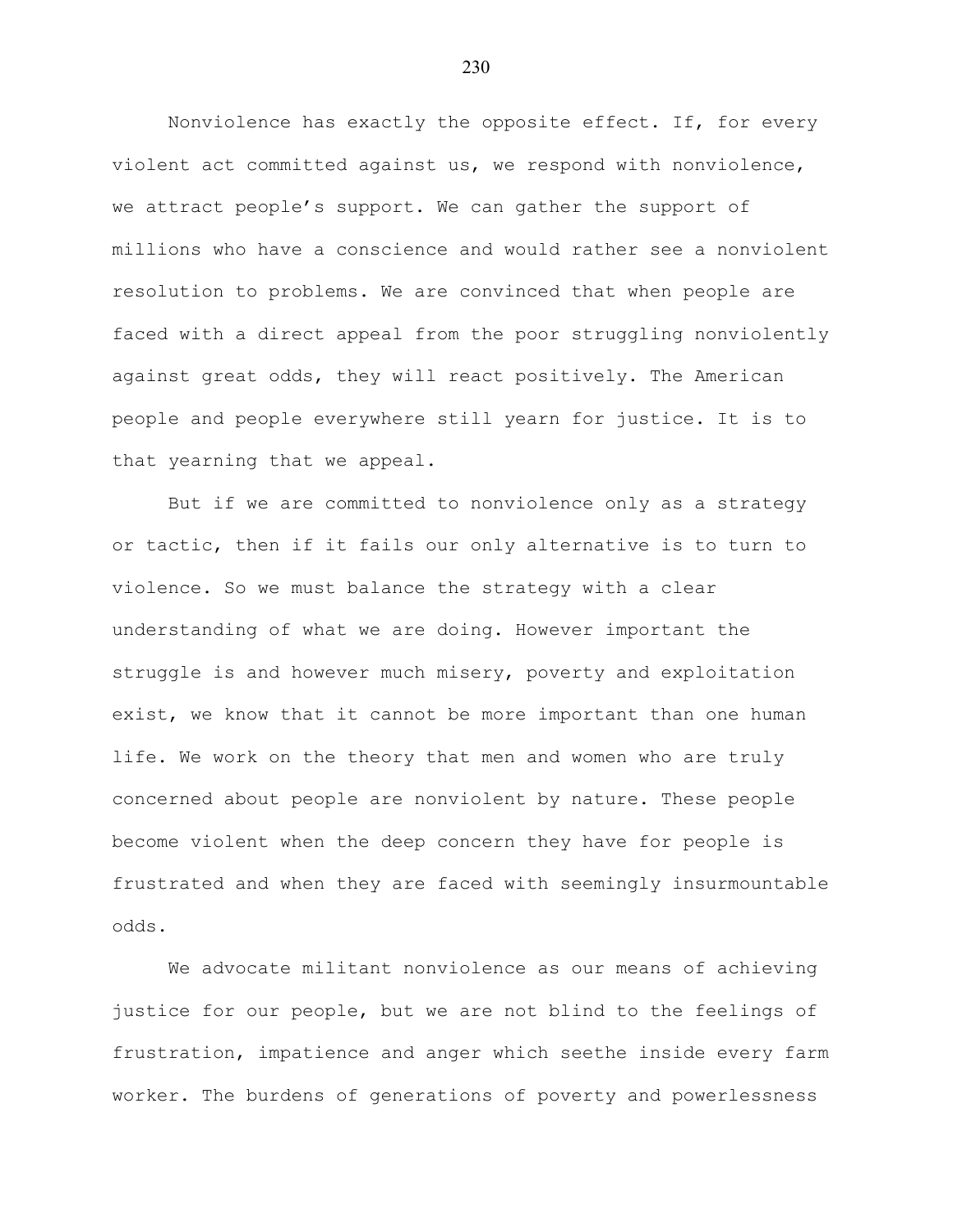Nonviolence has exactly the opposite effect. If, for every violent act committed against us, we respond with nonviolence, we attract people's support. We can gather the support of millions who have a conscience and would rather see a nonviolent resolution to problems. We are convinced that when people are faced with a direct appeal from the poor struggling nonviolently against great odds, they will react positively. The American people and people everywhere still yearn for justice. It is to that yearning that we appeal.

But if we are committed to nonviolence only as a strategy or tactic, then if it fails our only alternative is to turn to violence. So we must balance the strategy with a clear understanding of what we are doing. However important the struggle is and however much misery, poverty and exploitation exist, we know that it cannot be more important than one human life. We work on the theory that men and women who are truly concerned about people are nonviolent by nature. These people become violent when the deep concern they have for people is frustrated and when they are faced with seemingly insurmountable odds.

We advocate militant nonviolence as our means of achieving justice for our people, but we are not blind to the feelings of frustration, impatience and anger which seethe inside every farm worker. The burdens of generations of poverty and powerlessness

230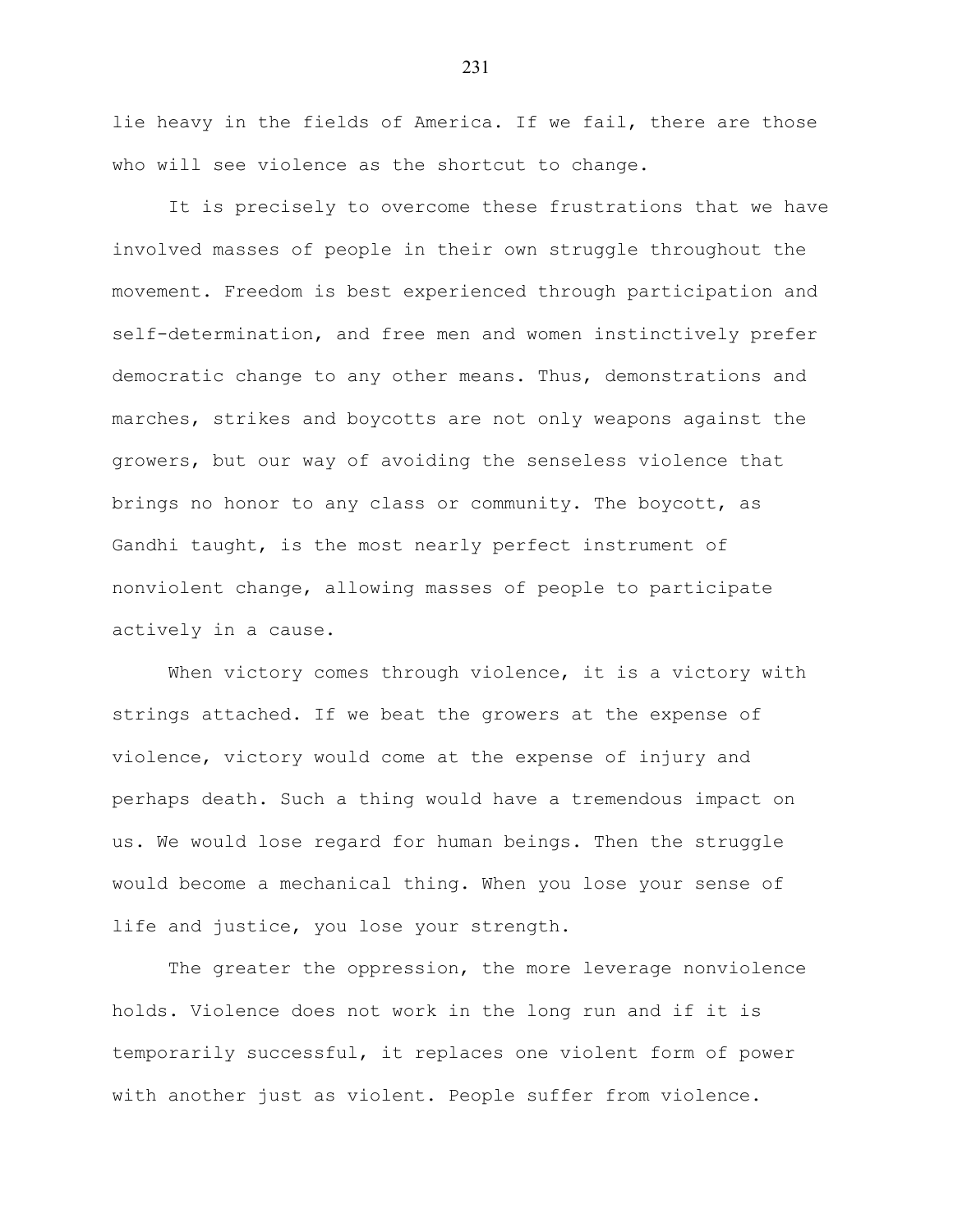lie heavy in the fields of America. If we fail, there are those who will see violence as the shortcut to change.

It is precisely to overcome these frustrations that we have involved masses of people in their own struggle throughout the movement. Freedom is best experienced through participation and self-determination, and free men and women instinctively prefer democratic change to any other means. Thus, demonstrations and marches, strikes and boycotts are not only weapons against the growers, but our way of avoiding the senseless violence that brings no honor to any class or community. The boycott, as Gandhi taught, is the most nearly perfect instrument of nonviolent change, allowing masses of people to participate actively in a cause.

When victory comes through violence, it is a victory with strings attached. If we beat the growers at the expense of violence, victory would come at the expense of injury and perhaps death. Such a thing would have a tremendous impact on us. We would lose regard for human beings. Then the struggle would become a mechanical thing. When you lose your sense of life and justice, you lose your strength.

The greater the oppression, the more leverage nonviolence holds. Violence does not work in the long run and if it is temporarily successful, it replaces one violent form of power with another just as violent. People suffer from violence.